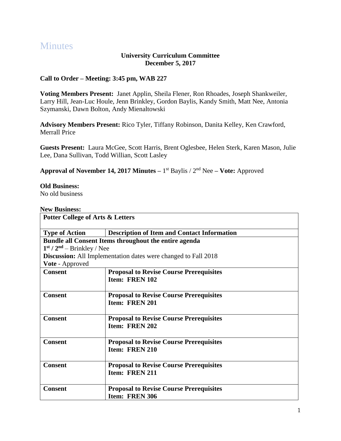# **Minutes**

#### **University Curriculum Committee December 5, 2017**

## **Call to Order – Meeting: 3:45 pm, WAB 227**

**Voting Members Present:** Janet Applin, Sheila Flener, Ron Rhoades, Joseph Shankweiler, Larry Hill, Jean-Luc Houle, Jenn Brinkley, Gordon Baylis, Kandy Smith, Matt Nee, Antonia Szymanski, Dawn Bolton, Andy Mienaltowski

**Advisory Members Present:** Rico Tyler, Tiffany Robinson, Danita Kelley, Ken Crawford, Merrall Price

**Guests Present:** Laura McGee, Scott Harris, Brent Oglesbee, Helen Sterk, Karen Mason, Julie Lee, Dana Sullivan, Todd Willian, Scott Lasley

**Approval of November 14, 2017 Minutes –** 1 st Baylis / 2nd Nee **– Vote:** Approved

#### **Old Business:**

No old business

#### **New Business:**

| <b>Potter College of Arts &amp; Letters</b> |                                                                  |
|---------------------------------------------|------------------------------------------------------------------|
| <b>Type of Action</b>                       | <b>Description of Item and Contact Information</b>               |
|                                             | Bundle all Consent Items throughout the entire agenda            |
| $1st / 2nd - Brinkley / Nee$                |                                                                  |
|                                             | Discussion: All Implementation dates were changed to Fall 2018   |
| Vote - Approved                             |                                                                  |
| <b>Consent</b>                              | <b>Proposal to Revise Course Prerequisites</b><br>Item: FREN 102 |
| <b>Consent</b>                              | <b>Proposal to Revise Course Prerequisites</b><br>Item: FREN 201 |
| <b>Consent</b>                              | <b>Proposal to Revise Course Prerequisites</b><br>Item: FREN 202 |
| <b>Consent</b>                              | <b>Proposal to Revise Course Prerequisites</b><br>Item: FREN 210 |
| <b>Consent</b>                              | <b>Proposal to Revise Course Prerequisites</b><br>Item: FREN 211 |
| <b>Consent</b>                              | <b>Proposal to Revise Course Prerequisites</b><br>Item: FREN 306 |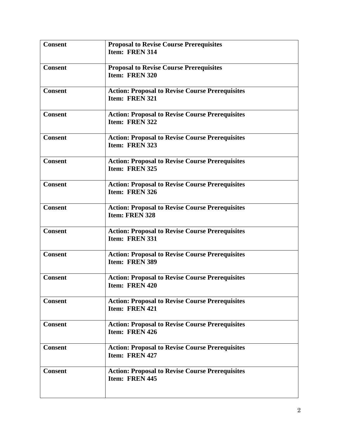| <b>Consent</b> | <b>Proposal to Revise Course Prerequisites</b><br>Item: FREN 314                |
|----------------|---------------------------------------------------------------------------------|
| <b>Consent</b> | <b>Proposal to Revise Course Prerequisites</b><br>Item: FREN 320                |
| <b>Consent</b> | <b>Action: Proposal to Revise Course Prerequisites</b><br>Item: FREN 321        |
| <b>Consent</b> | <b>Action: Proposal to Revise Course Prerequisites</b><br>Item: FREN 322        |
| <b>Consent</b> | <b>Action: Proposal to Revise Course Prerequisites</b><br>Item: FREN 323        |
| <b>Consent</b> | <b>Action: Proposal to Revise Course Prerequisites</b><br>Item: FREN 325        |
| <b>Consent</b> | <b>Action: Proposal to Revise Course Prerequisites</b><br>Item: FREN 326        |
| <b>Consent</b> | <b>Action: Proposal to Revise Course Prerequisites</b><br><b>Item: FREN 328</b> |
| <b>Consent</b> | <b>Action: Proposal to Revise Course Prerequisites</b><br>Item: FREN 331        |
| <b>Consent</b> | <b>Action: Proposal to Revise Course Prerequisites</b><br>Item: FREN 389        |
| <b>Consent</b> | <b>Action: Proposal to Revise Course Prerequisites</b><br>Item: FREN 420        |
| <b>Consent</b> | <b>Action: Proposal to Revise Course Prerequisites</b><br>Item: FREN 421        |
| <b>Consent</b> | <b>Action: Proposal to Revise Course Prerequisites</b><br>Item: FREN 426        |
| <b>Consent</b> | <b>Action: Proposal to Revise Course Prerequisites</b><br>Item: FREN 427        |
| <b>Consent</b> | <b>Action: Proposal to Revise Course Prerequisites</b><br>Item: FREN 445        |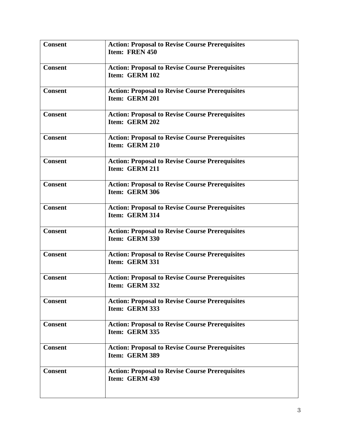| <b>Consent</b> | <b>Action: Proposal to Revise Course Prerequisites</b><br>Item: FREN 450 |
|----------------|--------------------------------------------------------------------------|
| <b>Consent</b> | <b>Action: Proposal to Revise Course Prerequisites</b><br>Item: GERM 102 |
| <b>Consent</b> | <b>Action: Proposal to Revise Course Prerequisites</b><br>Item: GERM 201 |
| <b>Consent</b> | <b>Action: Proposal to Revise Course Prerequisites</b><br>Item: GERM 202 |
| <b>Consent</b> | <b>Action: Proposal to Revise Course Prerequisites</b><br>Item: GERM 210 |
| <b>Consent</b> | <b>Action: Proposal to Revise Course Prerequisites</b><br>Item: GERM 211 |
| <b>Consent</b> | <b>Action: Proposal to Revise Course Prerequisites</b><br>Item: GERM 306 |
| <b>Consent</b> | <b>Action: Proposal to Revise Course Prerequisites</b><br>Item: GERM 314 |
| <b>Consent</b> | <b>Action: Proposal to Revise Course Prerequisites</b><br>Item: GERM 330 |
| <b>Consent</b> | <b>Action: Proposal to Revise Course Prerequisites</b><br>Item: GERM 331 |
| <b>Consent</b> | <b>Action: Proposal to Revise Course Prerequisites</b><br>Item: GERM 332 |
| <b>Consent</b> | <b>Action: Proposal to Revise Course Prerequisites</b><br>Item: GERM 333 |
| <b>Consent</b> | <b>Action: Proposal to Revise Course Prerequisites</b><br>Item: GERM 335 |
| <b>Consent</b> | <b>Action: Proposal to Revise Course Prerequisites</b><br>Item: GERM 389 |
| <b>Consent</b> | <b>Action: Proposal to Revise Course Prerequisites</b><br>Item: GERM 430 |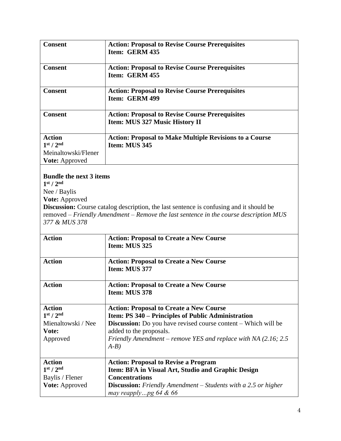| <b>Consent</b>                    | <b>Action: Proposal to Revise Course Prerequisites</b><br>Item: GERM 435                 |
|-----------------------------------|------------------------------------------------------------------------------------------|
| <b>Consent</b>                    | <b>Action: Proposal to Revise Course Prerequisites</b><br>Item: GERM 455                 |
| <b>Consent</b>                    | <b>Action: Proposal to Revise Course Prerequisites</b><br>Item: GERM 499                 |
| <b>Consent</b>                    | <b>Action: Proposal to Revise Course Prerequisites</b><br>Item: MUS 327 Music History II |
| <b>Action</b>                     | <b>Action: Proposal to Make Multiple Revisions to a Course</b>                           |
| 1 <sup>st</sup> / 2 <sup>nd</sup> | Item: MUS 345                                                                            |
| Meinaltowski/Flener               |                                                                                          |
| <b>Vote:</b> Approved             |                                                                                          |

# **Bundle the next 3 items**

**1 st / 2nd**

Nee / Baylis

**Vote:** Approved

**Discussion:** Course catalog description, the last sentence is confusing and it should be removed – *Friendly Amendment – Remove the last sentence in the course description MUS 377 & MUS 378*

| <b>Action</b>                     | <b>Action: Proposal to Create a New Course</b><br>Item: MUS 325                                   |
|-----------------------------------|---------------------------------------------------------------------------------------------------|
| <b>Action</b>                     | <b>Action: Proposal to Create a New Course</b><br>Item: MUS 377                                   |
| <b>Action</b>                     | <b>Action: Proposal to Create a New Course</b><br>Item: MUS 378                                   |
| <b>Action</b>                     | <b>Action: Proposal to Create a New Course</b>                                                    |
| 1 <sup>st</sup> / 2 <sup>nd</sup> | Item: PS 340 – Principles of Public Administration                                                |
| Mienaltowski / Nee                | <b>Discussion:</b> Do you have revised course content – Which will be                             |
| Vote:                             | added to the proposals.                                                                           |
| Approved                          | Friendly Amendment – remove YES and replace with NA $(2.16; 2.5)$<br>$A-B$ )                      |
| <b>Action</b>                     | <b>Action: Proposal to Revise a Program</b>                                                       |
| 1 <sup>st</sup> / 2 <sup>nd</sup> | Item: BFA in Visual Art, Studio and Graphic Design                                                |
| Baylis / Flener                   | <b>Concentrations</b>                                                                             |
| <b>Vote:</b> Approved             | <b>Discussion:</b> Friendly Amendment – Students with a 2.5 or higher<br>may reapplypg $64 \& 66$ |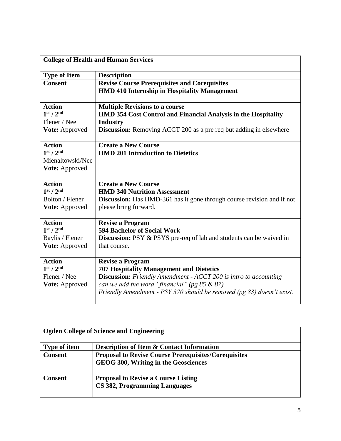| <b>College of Health and Human Services</b>                                                 |                                                                                                                                                                                                                                                                              |
|---------------------------------------------------------------------------------------------|------------------------------------------------------------------------------------------------------------------------------------------------------------------------------------------------------------------------------------------------------------------------------|
| <b>Type of Item</b>                                                                         | <b>Description</b>                                                                                                                                                                                                                                                           |
| <b>Consent</b>                                                                              | <b>Revise Course Prerequisites and Corequisites</b><br><b>HMD 410 Internship in Hospitality Management</b>                                                                                                                                                                   |
| <b>Action</b><br>1 <sup>st</sup> / 2 <sup>nd</sup>                                          | <b>Multiple Revisions to a course</b><br><b>HMD 354 Cost Control and Financial Analysis in the Hospitality</b>                                                                                                                                                               |
| Flener / Nee<br>Vote: Approved                                                              | <b>Industry</b><br>Discussion: Removing ACCT 200 as a pre req but adding in elsewhere                                                                                                                                                                                        |
| <b>Action</b><br>1 <sup>st</sup> / 2 <sup>nd</sup><br>Mienaltowski/Nee<br>Vote: Approved    | <b>Create a New Course</b><br><b>HMD 201 Introduction to Dietetics</b>                                                                                                                                                                                                       |
| <b>Action</b><br>1 <sup>st</sup> / 2 <sup>nd</sup><br>Bolton / Flener<br>Vote: Approved     | <b>Create a New Course</b><br><b>HMD 340 Nutrition Assessment</b><br><b>Discussion:</b> Has HMD-361 has it gone through course revision and if not<br>please bring forward.                                                                                                  |
| <b>Action</b><br>1 <sup>st</sup> / 2 <sup>nd</sup><br>Baylis / Flener<br>Vote: Approved     | <b>Revise a Program</b><br><b>594 Bachelor of Social Work</b><br><b>Discussion:</b> PSY & PSYS pre-req of lab and students can be waived in<br>that course.                                                                                                                  |
| <b>Action</b><br>1 <sup>st</sup> / 2 <sup>nd</sup><br>Flener / Nee<br><b>Vote:</b> Approved | <b>Revise a Program</b><br><b>707 Hospitality Management and Dietetics</b><br>Discussion: Friendly Amendment - ACCT 200 is intro to accounting -<br>can we add the word "financial" (pg $85 & 87$ )<br>Friendly Amendment - PSY 370 should be removed (pg 83) doesn't exist. |

| <b>Ogden College of Science and Engineering</b> |                                                                                                     |
|-------------------------------------------------|-----------------------------------------------------------------------------------------------------|
| <b>Type of item</b>                             | <b>Description of Item &amp; Contact Information</b>                                                |
| <b>Consent</b>                                  | <b>Proposal to Revise Course Prerequisites/Corequisites</b><br>GEOG 300, Writing in the Geosciences |
| <b>Consent</b>                                  | <b>Proposal to Revise a Course Listing</b><br>CS 382, Programming Languages                         |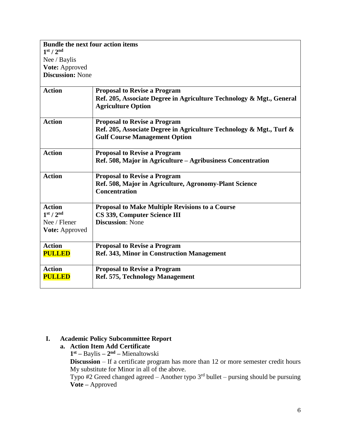| <b>Bundle the next four action items</b><br>1 <sup>st</sup> / 2 <sup>nd</sup> |                                                                      |
|-------------------------------------------------------------------------------|----------------------------------------------------------------------|
| Nee / Baylis                                                                  |                                                                      |
| Vote: Approved                                                                |                                                                      |
| <b>Discussion: None</b>                                                       |                                                                      |
|                                                                               |                                                                      |
| <b>Action</b>                                                                 | <b>Proposal to Revise a Program</b>                                  |
|                                                                               | Ref. 205, Associate Degree in Agriculture Technology & Mgt., General |
|                                                                               | <b>Agriculture Option</b>                                            |
| <b>Action</b>                                                                 | <b>Proposal to Revise a Program</b>                                  |
|                                                                               | Ref. 205, Associate Degree in Agriculture Technology & Mgt., Turf &  |
|                                                                               | <b>Gulf Course Management Option</b>                                 |
|                                                                               |                                                                      |
| <b>Action</b>                                                                 | <b>Proposal to Revise a Program</b>                                  |
|                                                                               | Ref. 508, Major in Agriculture – Agribusiness Concentration          |
| <b>Action</b>                                                                 | <b>Proposal to Revise a Program</b>                                  |
|                                                                               | Ref. 508, Major in Agriculture, Agronomy-Plant Science               |
|                                                                               | <b>Concentration</b>                                                 |
|                                                                               |                                                                      |
| <b>Action</b>                                                                 | <b>Proposal to Make Multiple Revisions to a Course</b>               |
| 1 <sup>st</sup> / 2 <sup>nd</sup>                                             | CS 339, Computer Science III                                         |
| Nee / Flener                                                                  | <b>Discussion: None</b>                                              |
| Vote: Approved                                                                |                                                                      |
|                                                                               |                                                                      |
| <b>Action</b>                                                                 | <b>Proposal to Revise a Program</b>                                  |
| <b>PULLED</b>                                                                 | <b>Ref. 343, Minor in Construction Management</b>                    |
| <b>Action</b>                                                                 | <b>Proposal to Revise a Program</b>                                  |
| <b>PULLED</b>                                                                 | Ref. 575, Technology Management                                      |
|                                                                               |                                                                      |

# **I. Academic Policy Subcommittee Report**

#### **a. Action Item Add Certificate**

**1 st –** Baylis **– 2 nd –** Mienaltowski

**Discussion** – If a certificate program has more than 12 or more semester credit hours My substitute for Minor in all of the above.

Typo #2 Greed changed agreed  $-$  Another typo  $3<sup>rd</sup>$  bullet  $-$  pursing should be pursuing **Vote –** Approved